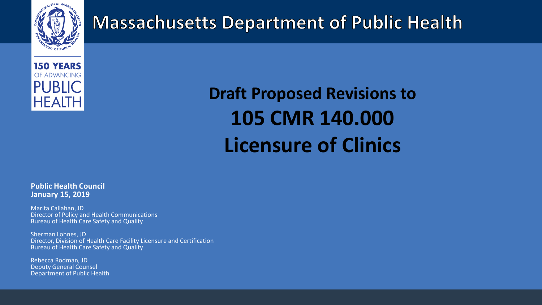

### **Massachusetts Department of Public Health**



# **Draft Proposed Revisions to 105 CMR 140.000 Licensure of Clinics**

#### **Public Health Council January 15, 2019**

Marita Callahan, JD Director of Policy and Health Communications Bureau of Health Care Safety and Quality

Sherman Lohnes, JD Director, Division of Health Care Facility Licensure and Certification Bureau of Health Care Safety and Quality

Rebecca Rodman, JD Deputy General Counsel Department of Public Health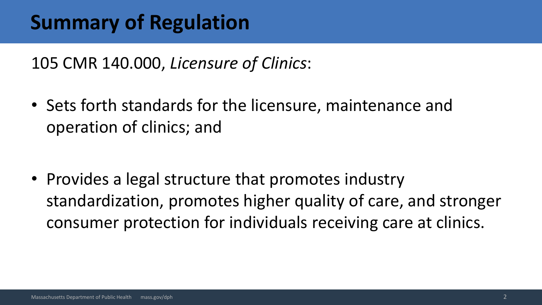### **Summary of Regulation**

105 CMR 140.000, *Licensure of Clinics*:

• Sets forth standards for the licensure, maintenance and operation of clinics; and

• Provides a legal structure that promotes industry standardization, promotes higher quality of care, and stronger consumer protection for individuals receiving care at clinics.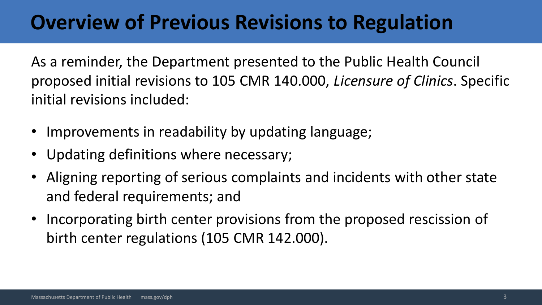### **Overview of Previous Revisions to Regulation**

As a reminder, the Department presented to the Public Health Council proposed initial revisions to 105 CMR 140.000, *Licensure of Clinics*. Specific initial revisions included:

- Improvements in readability by updating language;
- Updating definitions where necessary;
- Aligning reporting of serious complaints and incidents with other state and federal requirements; and
- Incorporating birth center provisions from the proposed rescission of birth center regulations (105 CMR 142.000).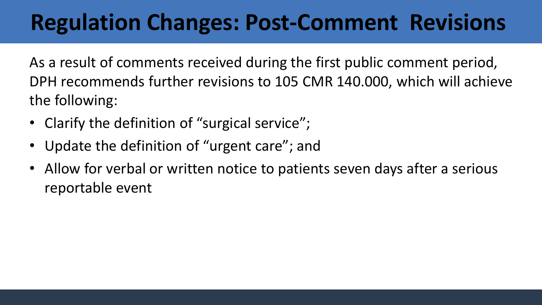# **Regulation Changes: Post-Comment Revisions**

As a result of comments received during the first public comment period, DPH recommends further revisions to 105 CMR 140.000, which will achieve the following:

- Clarify the definition of "surgical service";
- Update the definition of "urgent care"; and
- Allow for verbal or written notice to patients seven days after a serious reportable event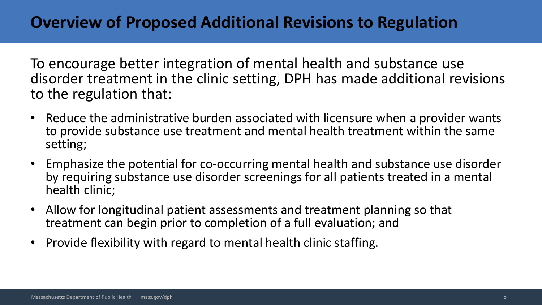### **Overview of Proposed Additional Revisions to Regulation**

To encourage better integration of mental health and substance use disorder treatment in the clinic setting, DPH has made additional revisions to the regulation that:

- Reduce the administrative burden associated with licensure when a provider wants to provide substance use treatment and mental health treatment within the same setting;
- Emphasize the potential for co-occurring mental health and substance use disorder by requiring substance use disorder screenings for all patients treated in a mental health clinic;
- Allow for longitudinal patient assessments and treatment planning so that treatment can begin prior to completion of a full evaluation; and
- Provide flexibility with regard to mental health clinic staffing.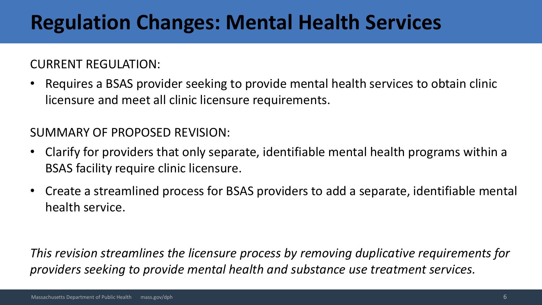## **Regulation Changes: Mental Health Services**

CURRENT REGULATION:

• Requires a BSAS provider seeking to provide mental health services to obtain clinic licensure and meet all clinic licensure requirements.

SUMMARY OF PROPOSED REVISION:

- Clarify for providers that only separate, identifiable mental health programs within a BSAS facility require clinic licensure.
- Create a streamlined process for BSAS providers to add a separate, identifiable mental health service.

*This revision streamlines the licensure process by removing duplicative requirements for providers seeking to provide mental health and substance use treatment services.*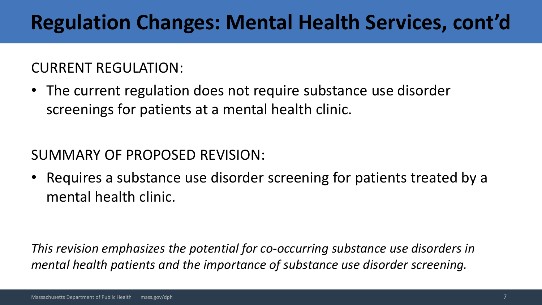## **Regulation Changes: Mental Health Services, cont'd**

#### CURRENT REGULATION:

• The current regulation does not require substance use disorder screenings for patients at a mental health clinic.

#### SUMMARY OF PROPOSED REVISION:

• Requires a substance use disorder screening for patients treated by a mental health clinic.

*This revision emphasizes the potential for co-occurring substance use disorders in mental health patients and the importance of substance use disorder screening.*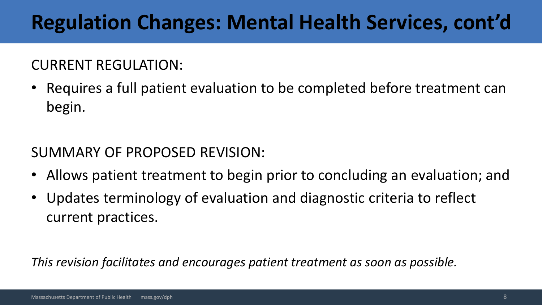## **Regulation Changes: Mental Health Services, cont'd**

#### CURRENT REGULATION:

• Requires a full patient evaluation to be completed before treatment can begin.

SUMMARY OF PROPOSED REVISION:

- Allows patient treatment to begin prior to concluding an evaluation; and
- Updates terminology of evaluation and diagnostic criteria to reflect current practices.

*This revision facilitates and encourages patient treatment as soon as possible.*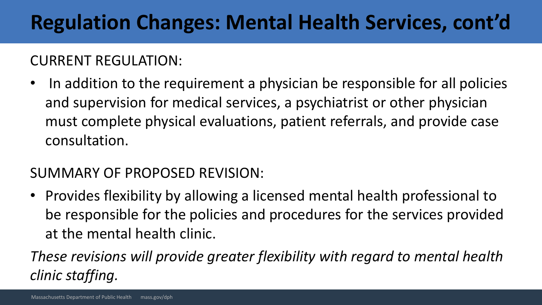## **Regulation Changes: Mental Health Services, cont'd**

#### CURRENT REGULATION:

• In addition to the requirement a physician be responsible for all policies and supervision for medical services, a psychiatrist or other physician must complete physical evaluations, patient referrals, and provide case consultation.

#### SUMMARY OF PROPOSED REVISION:

• Provides flexibility by allowing a licensed mental health professional to be responsible for the policies and procedures for the services provided at the mental health clinic.

*These revisions will provide greater flexibility with regard to mental health clinic staffing.*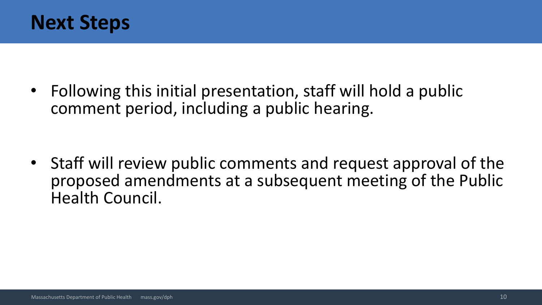

• Following this initial presentation, staff will hold a public comment period, including a public hearing.

• Staff will review public comments and request approval of the proposed amendments at a subsequent meeting of the Public Health Council.